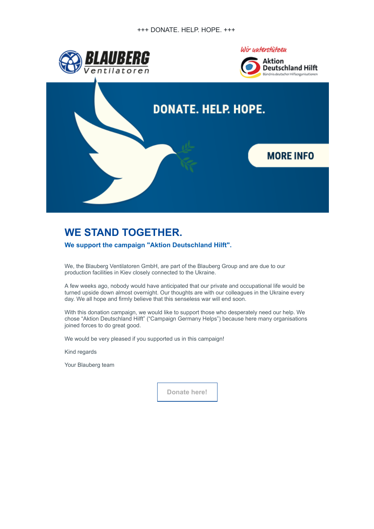

## **WE STAND TOGETHER.**

## **We support the campaign "Aktion Deutschland Hilft".**

We, the Blauberg Ventilatoren GmbH, are part of the Blauberg Group and are due to our production facilities in Kiev closely connected to the Ukraine.

A few weeks ago, nobody would have anticipated that our private and occupational life would be turned upside down almost overnight. Our thoughts are with our colleagues in the Ukraine every day. We all hope and firmly believe that this senseless war will end soon.

With this donation campaign, we would like to support those who desperately need our help. We chose "Aktion Deutschland Hilft" ("Campaign Germany Helps") because here many organisations joined forces to do great good.

We would be very pleased if you supported us in this campaign!

Kind regards

Your Blauberg team

**[Donate here!](https://news.blaubergventilatoren.de/d?o000023q000072bid0000qqi00000000000zbrhsph5wcor6gkowqwr665q20)**